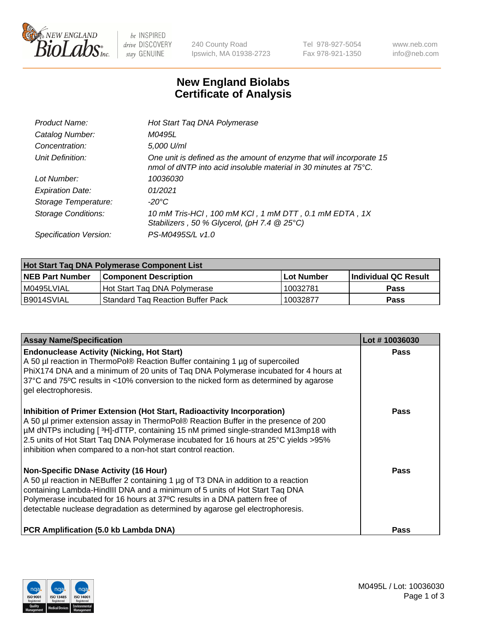

 $be$  INSPIRED drive DISCOVERY stay GENUINE

240 County Road Ipswich, MA 01938-2723 Tel 978-927-5054 Fax 978-921-1350 www.neb.com info@neb.com

## **New England Biolabs Certificate of Analysis**

| Product Name:              | Hot Start Taq DNA Polymerase                                                                                                             |
|----------------------------|------------------------------------------------------------------------------------------------------------------------------------------|
| Catalog Number:            | M0495L                                                                                                                                   |
| Concentration:             | 5,000 U/ml                                                                                                                               |
| Unit Definition:           | One unit is defined as the amount of enzyme that will incorporate 15<br>nmol of dNTP into acid insoluble material in 30 minutes at 75°C. |
| Lot Number:                | 10036030                                                                                                                                 |
| <b>Expiration Date:</b>    | 01/2021                                                                                                                                  |
| Storage Temperature:       | -20°C                                                                                                                                    |
| <b>Storage Conditions:</b> | 10 mM Tris-HCl, 100 mM KCl, 1 mM DTT, 0.1 mM EDTA, 1X<br>Stabilizers, 50 % Glycerol, (pH 7.4 @ 25°C)                                     |
| Specification Version:     | PS-M0495S/L v1.0                                                                                                                         |

| Hot Start Taq DNA Polymerase Component List |                                   |              |                      |  |  |
|---------------------------------------------|-----------------------------------|--------------|----------------------|--|--|
| <b>NEB Part Number</b>                      | Component Description_            | l Lot Number | Individual QC Result |  |  |
| M0495LVIAL                                  | Hot Start Tag DNA Polymerase      | 10032781     | <b>Pass</b>          |  |  |
| I B9014SVIAL                                | Standard Tag Reaction Buffer Pack | 10032877     | Pass                 |  |  |

| <b>Assay Name/Specification</b>                                                                                                                                                                                                                                                                                                                                                                                | Lot #10036030 |
|----------------------------------------------------------------------------------------------------------------------------------------------------------------------------------------------------------------------------------------------------------------------------------------------------------------------------------------------------------------------------------------------------------------|---------------|
| <b>Endonuclease Activity (Nicking, Hot Start)</b><br>A 50 µl reaction in ThermoPol® Reaction Buffer containing 1 µg of supercoiled<br>PhiX174 DNA and a minimum of 20 units of Taq DNA Polymerase incubated for 4 hours at<br>37°C and 75°C results in <10% conversion to the nicked form as determined by agarose<br>gel electrophoresis.                                                                     | <b>Pass</b>   |
| Inhibition of Primer Extension (Hot Start, Radioactivity Incorporation)<br>A 50 µl primer extension assay in ThermoPol® Reaction Buffer in the presence of 200<br>µM dNTPs including [3H]-dTTP, containing 15 nM primed single-stranded M13mp18 with<br>2.5 units of Hot Start Taq DNA Polymerase incubated for 16 hours at 25°C yields > 95%<br>inhibition when compared to a non-hot start control reaction. | Pass          |
| <b>Non-Specific DNase Activity (16 Hour)</b><br>A 50 µl reaction in NEBuffer 2 containing 1 µg of T3 DNA in addition to a reaction<br>containing Lambda-HindIII DNA and a minimum of 5 units of Hot Start Taq DNA<br>Polymerase incubated for 16 hours at 37°C results in a DNA pattern free of<br>detectable nuclease degradation as determined by agarose gel electrophoresis.                               | Pass          |
| <b>PCR Amplification (5.0 kb Lambda DNA)</b>                                                                                                                                                                                                                                                                                                                                                                   | <b>Pass</b>   |

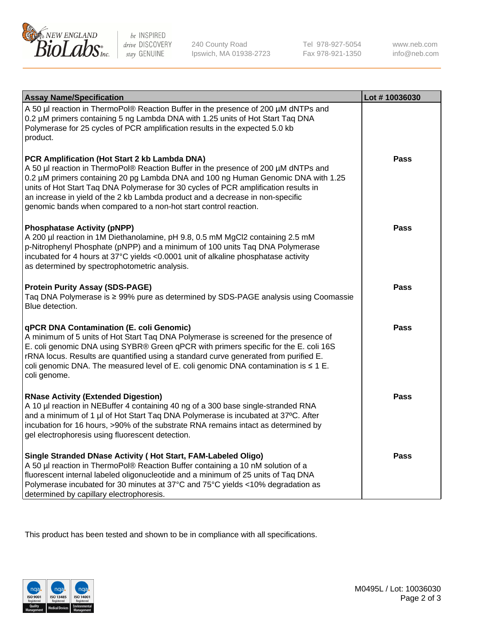

be INSPIRED drive DISCOVERY stay GENUINE

240 County Road Ipswich, MA 01938-2723 Tel 978-927-5054 Fax 978-921-1350 www.neb.com info@neb.com

| <b>Assay Name/Specification</b>                                                                                                                                                                                                                                                                                                                                                                                                                                       | Lot #10036030 |
|-----------------------------------------------------------------------------------------------------------------------------------------------------------------------------------------------------------------------------------------------------------------------------------------------------------------------------------------------------------------------------------------------------------------------------------------------------------------------|---------------|
| A 50 µl reaction in ThermoPol® Reaction Buffer in the presence of 200 µM dNTPs and<br>0.2 µM primers containing 5 ng Lambda DNA with 1.25 units of Hot Start Taq DNA<br>Polymerase for 25 cycles of PCR amplification results in the expected 5.0 kb<br>product.                                                                                                                                                                                                      |               |
| PCR Amplification (Hot Start 2 kb Lambda DNA)<br>A 50 µl reaction in ThermoPol® Reaction Buffer in the presence of 200 µM dNTPs and<br>0.2 µM primers containing 20 pg Lambda DNA and 100 ng Human Genomic DNA with 1.25<br>units of Hot Start Taq DNA Polymerase for 30 cycles of PCR amplification results in<br>an increase in yield of the 2 kb Lambda product and a decrease in non-specific<br>genomic bands when compared to a non-hot start control reaction. | Pass          |
| <b>Phosphatase Activity (pNPP)</b><br>A 200 µl reaction in 1M Diethanolamine, pH 9.8, 0.5 mM MgCl2 containing 2.5 mM<br>p-Nitrophenyl Phosphate (pNPP) and a minimum of 100 units Taq DNA Polymerase<br>incubated for 4 hours at 37°C yields <0.0001 unit of alkaline phosphatase activity<br>as determined by spectrophotometric analysis.                                                                                                                           | <b>Pass</b>   |
| <b>Protein Purity Assay (SDS-PAGE)</b><br>Taq DNA Polymerase is ≥ 99% pure as determined by SDS-PAGE analysis using Coomassie<br>Blue detection.                                                                                                                                                                                                                                                                                                                      | <b>Pass</b>   |
| <b>qPCR DNA Contamination (E. coli Genomic)</b><br>A minimum of 5 units of Hot Start Taq DNA Polymerase is screened for the presence of<br>E. coli genomic DNA using SYBR® Green qPCR with primers specific for the E. coli 16S<br>rRNA locus. Results are quantified using a standard curve generated from purified E.<br>coli genomic DNA. The measured level of E. coli genomic DNA contamination is $\leq 1$ E.<br>coli genome.                                   | Pass          |
| <b>RNase Activity (Extended Digestion)</b><br>A 10 µl reaction in NEBuffer 4 containing 40 ng of a 300 base single-stranded RNA<br>and a minimum of 1 µl of Hot Start Taq DNA Polymerase is incubated at 37°C. After<br>incubation for 16 hours, >90% of the substrate RNA remains intact as determined by<br>gel electrophoresis using fluorescent detection.                                                                                                        | <b>Pass</b>   |
| Single Stranded DNase Activity (Hot Start, FAM-Labeled Oligo)<br>A 50 µl reaction in ThermoPol® Reaction Buffer containing a 10 nM solution of a<br>fluorescent internal labeled oligonucleotide and a minimum of 25 units of Taq DNA<br>Polymerase incubated for 30 minutes at 37°C and 75°C yields <10% degradation as<br>determined by capillary electrophoresis.                                                                                                  | <b>Pass</b>   |

This product has been tested and shown to be in compliance with all specifications.